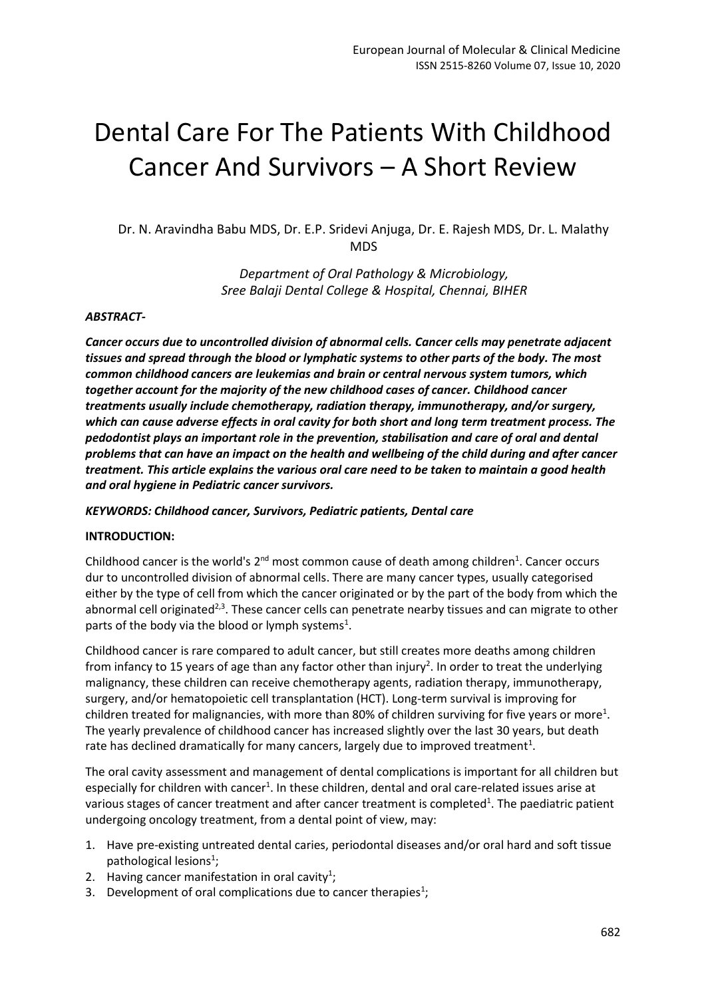# Dental Care For The Patients With Childhood Cancer And Survivors – A Short Review

Dr. N. Aravindha Babu MDS, Dr. E.P. Sridevi Anjuga, Dr. E. Rajesh MDS, Dr. L. Malathy MDS

> *Department of Oral Pathology & Microbiology, Sree Balaji Dental College & Hospital, Chennai, BIHER*

#### *ABSTRACT-*

*Cancer occurs due to uncontrolled division of abnormal cells. Cancer cells may penetrate adjacent tissues and spread through the blood or lymphatic systems to other parts of the body. The most common childhood cancers are leukemias and brain or central nervous system tumors, which together account for the majority of the new childhood cases of cancer. Childhood cancer treatments usually include chemotherapy, radiation therapy, immunotherapy, and/or surgery, which can cause adverse effects in oral cavity for both short and long term treatment process. The pedodontist plays an important role in the prevention, stabilisation and care of oral and dental problems that can have an impact on the health and wellbeing of the child during and after cancer treatment. This article explains the various oral care need to be taken to maintain a good health and oral hygiene in Pediatric cancer survivors.*

#### *KEYWORDS: Childhood cancer, Survivors, Pediatric patients, Dental care*

#### **INTRODUCTION:**

Childhood cancer is the world's  $2^{nd}$  most common cause of death among children<sup>1</sup>. Cancer occurs dur to uncontrolled division of abnormal cells. There are many cancer types, usually categorised either by the type of cell from which the cancer originated or by the part of the body from which the abnormal cell originated<sup>2,3</sup>. These cancer cells can penetrate nearby tissues and can migrate to other parts of the body via the blood or lymph systems<sup>1</sup>.

Childhood cancer is rare compared to adult cancer, but still creates more deaths among children from infancy to 15 years of age than any factor other than injury<sup>2</sup>. In order to treat the underlying malignancy, these children can receive chemotherapy agents, radiation therapy, immunotherapy, surgery, and/or hematopoietic cell transplantation (HCT). Long-term survival is improving for children treated for malignancies, with more than 80% of children surviving for five years or more<sup>1</sup>. The yearly prevalence of childhood cancer has increased slightly over the last 30 years, but death rate has declined dramatically for many cancers, largely due to improved treatment<sup>1</sup>.

The oral cavity assessment and management of dental complications is important for all children but especially for children with cancer<sup>1</sup>. In these children, dental and oral care-related issues arise at various stages of cancer treatment and after cancer treatment is completed<sup>1</sup>. The paediatric patient undergoing oncology treatment, from a dental point of view, may:

- 1. Have pre-existing untreated dental caries, periodontal diseases and/or oral hard and soft tissue pathological lesions<sup>1</sup>;
- 2. Having cancer manifestation in oral cavity<sup>1</sup>;
- 3. Development of oral complications due to cancer therapies<sup>1</sup>;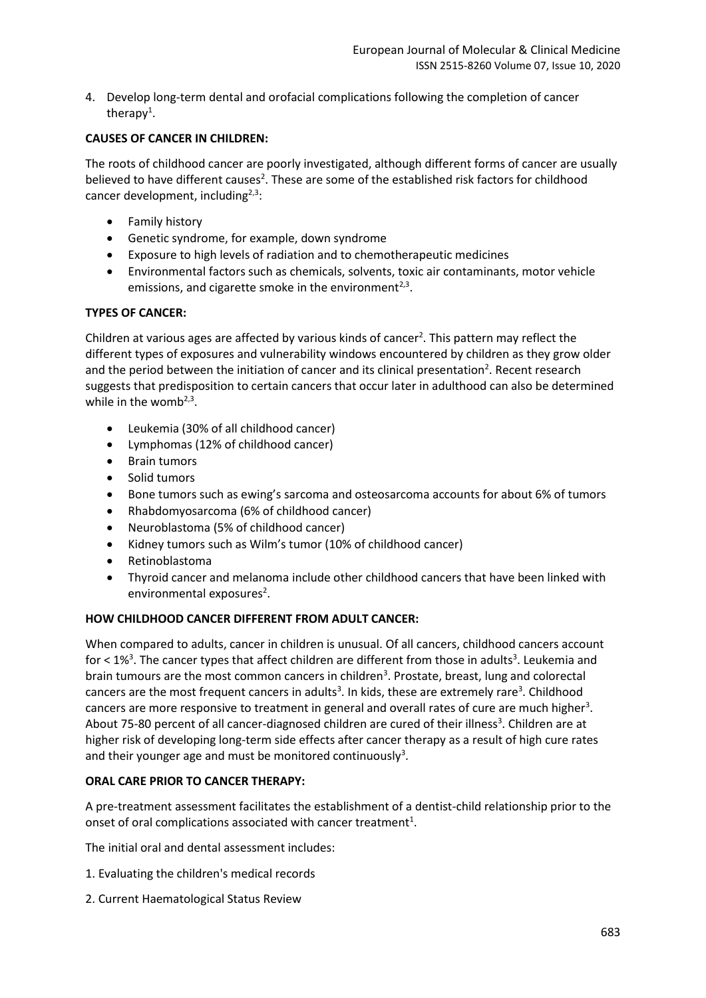4. Develop long-term dental and orofacial complications following the completion of cancer therapy<sup>1</sup>.

# **CAUSES OF CANCER IN CHILDREN:**

The roots of childhood cancer are poorly investigated, although different forms of cancer are usually believed to have different causes<sup>2</sup>. These are some of the established risk factors for childhood cancer development, including $2,3$ :

- Family history
- Genetic syndrome, for example, down syndrome
- Exposure to high levels of radiation and to chemotherapeutic medicines
- Environmental factors such as chemicals, solvents, toxic air contaminants, motor vehicle emissions, and cigarette smoke in the environment<sup>2,3</sup>.

## **TYPES OF CANCER:**

Children at various ages are affected by various kinds of cancer<sup>2</sup>. This pattern may reflect the different types of exposures and vulnerability windows encountered by children as they grow older and the period between the initiation of cancer and its clinical presentation<sup>2</sup>. Recent research suggests that predisposition to certain cancers that occur later in adulthood can also be determined while in the womb $2,3$ .

- Leukemia (30% of all childhood cancer)
- Lymphomas (12% of childhood cancer)
- Brain tumors
- Solid tumors
- Bone tumors such as ewing's sarcoma and osteosarcoma accounts for about 6% of tumors
- Rhabdomyosarcoma (6% of childhood cancer)
- Neuroblastoma (5% of childhood cancer)
- Kidney tumors such as Wilm's tumor (10% of childhood cancer)
- Retinoblastoma
- Thyroid cancer and melanoma include other childhood cancers that have been linked with environmental exposures<sup>2</sup>.

# **HOW CHILDHOOD CANCER DIFFERENT FROM ADULT CANCER:**

When compared to adults, cancer in children is unusual. Of all cancers, childhood cancers account for  $\leq$  1%<sup>3</sup>. The cancer types that affect children are different from those in adults<sup>3</sup>. Leukemia and brain tumours are the most common cancers in children<sup>3</sup>. Prostate, breast, lung and colorectal cancers are the most frequent cancers in adults<sup>3</sup>. In kids, these are extremely rare<sup>3</sup>. Childhood cancers are more responsive to treatment in general and overall rates of cure are much higher<sup>3</sup>. About 75-80 percent of all cancer-diagnosed children are cured of their illness<sup>3</sup>. Children are at higher risk of developing long-term side effects after cancer therapy as a result of high cure rates and their younger age and must be monitored continuously<sup>3</sup>.

# **ORAL CARE PRIOR TO CANCER THERAPY:**

A pre-treatment assessment facilitates the establishment of a dentist-child relationship prior to the onset of oral complications associated with cancer treatment<sup>1</sup>.

The initial oral and dental assessment includes:

- 1. Evaluating the children's medical records
- 2. Current Haematological Status Review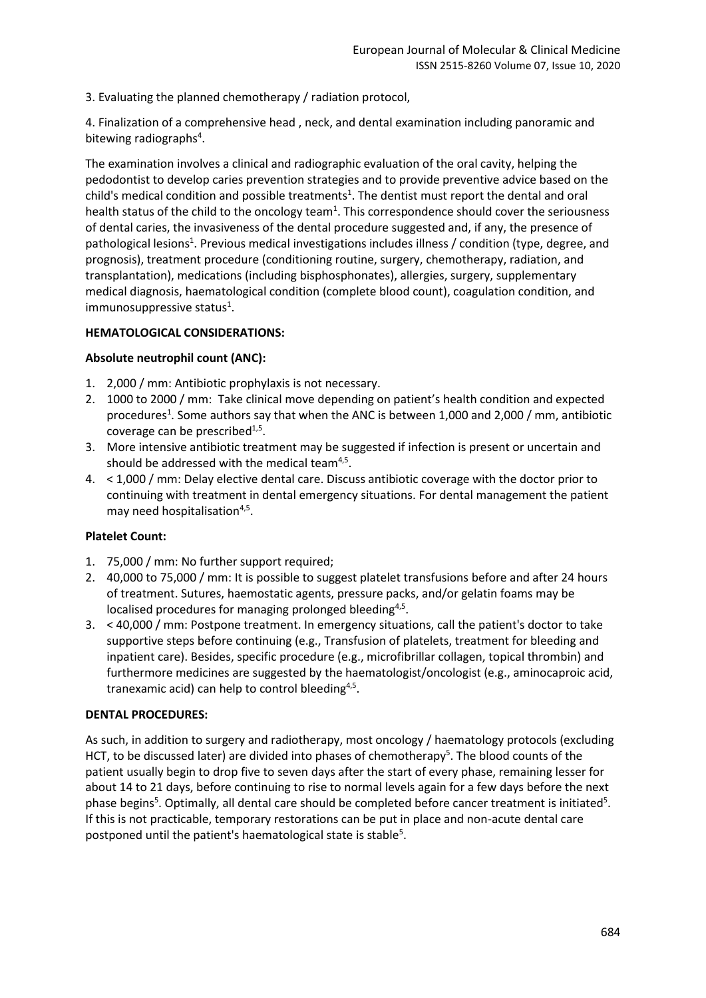3. Evaluating the planned chemotherapy / radiation protocol,

4. Finalization of a comprehensive head , neck, and dental examination including panoramic and bitewing radiographs<sup>4</sup>.

The examination involves a clinical and radiographic evaluation of the oral cavity, helping the pedodontist to develop caries prevention strategies and to provide preventive advice based on the child's medical condition and possible treatments<sup>1</sup>. The dentist must report the dental and oral health status of the child to the oncology team<sup>1</sup>. This correspondence should cover the seriousness of dental caries, the invasiveness of the dental procedure suggested and, if any, the presence of pathological lesions<sup>1</sup>. Previous medical investigations includes illness / condition (type, degree, and prognosis), treatment procedure (conditioning routine, surgery, chemotherapy, radiation, and transplantation), medications (including bisphosphonates), allergies, surgery, supplementary medical diagnosis, haematological condition (complete blood count), coagulation condition, and immunosuppressive status<sup>1</sup>.

#### **HEMATOLOGICAL CONSIDERATIONS:**

## **Absolute neutrophil count (ANC):**

- 1. 2,000 / mm: Antibiotic prophylaxis is not necessary.
- 2. 1000 to 2000 / mm: Take clinical move depending on patient's health condition and expected procedures<sup>1</sup>. Some authors say that when the ANC is between 1,000 and 2,000 / mm, antibiotic coverage can be prescribed $1,5$ .
- 3. More intensive antibiotic treatment may be suggested if infection is present or uncertain and should be addressed with the medical team $4.5$ .
- 4. < 1,000 / mm: Delay elective dental care. Discuss antibiotic coverage with the doctor prior to continuing with treatment in dental emergency situations. For dental management the patient may need hospitalisation<sup>4,5</sup>.

#### **Platelet Count:**

- 1. 75,000 / mm: No further support required;
- 2. 40,000 to 75,000 / mm: It is possible to suggest platelet transfusions before and after 24 hours of treatment. Sutures, haemostatic agents, pressure packs, and/or gelatin foams may be localised procedures for managing prolonged bleeding<sup>4,5</sup>.
- 3. < 40,000 / mm: Postpone treatment. In emergency situations, call the patient's doctor to take supportive steps before continuing (e.g., Transfusion of platelets, treatment for bleeding and inpatient care). Besides, specific procedure (e.g., microfibrillar collagen, topical thrombin) and furthermore medicines are suggested by the haematologist/oncologist (e.g., aminocaproic acid, tranexamic acid) can help to control bleeding<sup>4,5</sup>.

#### **DENTAL PROCEDURES:**

As such, in addition to surgery and radiotherapy, most oncology / haematology protocols (excluding HCT, to be discussed later) are divided into phases of chemotherapy<sup>5</sup>. The blood counts of the patient usually begin to drop five to seven days after the start of every phase, remaining lesser for about 14 to 21 days, before continuing to rise to normal levels again for a few days before the next phase begins<sup>5</sup>. Optimally, all dental care should be completed before cancer treatment is initiated<sup>5</sup>. If this is not practicable, temporary restorations can be put in place and non-acute dental care postponed until the patient's haematological state is stable<sup>5</sup>.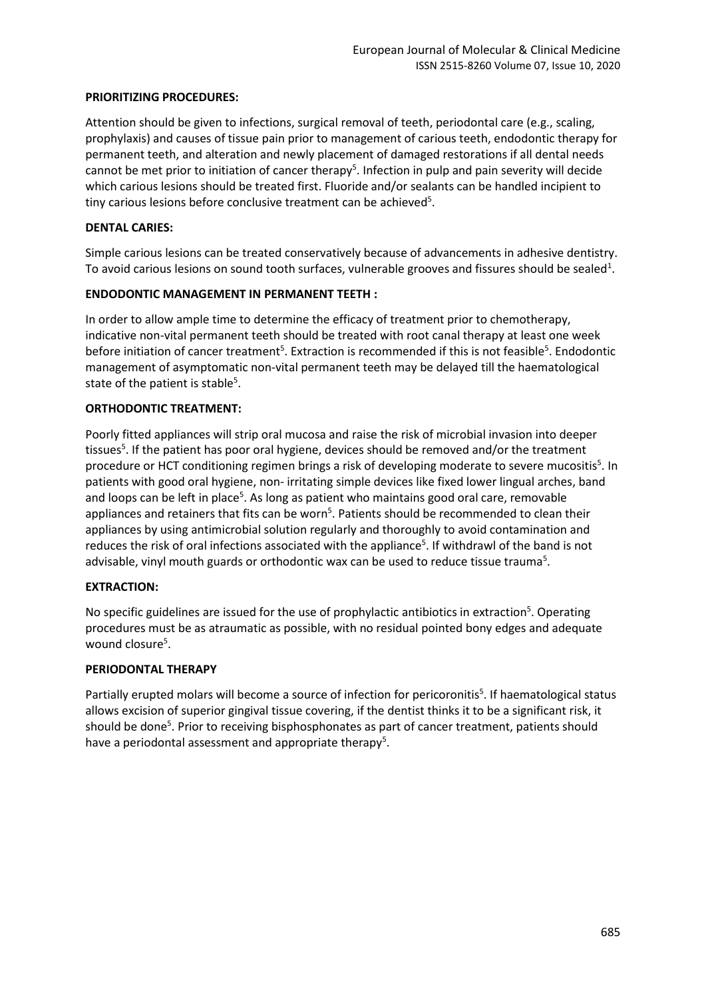### **PRIORITIZING PROCEDURES:**

Attention should be given to infections, surgical removal of teeth, periodontal care (e.g., scaling, prophylaxis) and causes of tissue pain prior to management of carious teeth, endodontic therapy for permanent teeth, and alteration and newly placement of damaged restorations if all dental needs cannot be met prior to initiation of cancer therapy<sup>5</sup>. Infection in pulp and pain severity will decide which carious lesions should be treated first. Fluoride and/or sealants can be handled incipient to tiny carious lesions before conclusive treatment can be achieved<sup>5</sup>.

## **DENTAL CARIES:**

Simple carious lesions can be treated conservatively because of advancements in adhesive dentistry. To avoid carious lesions on sound tooth surfaces, vulnerable grooves and fissures should be sealed<sup>1</sup>.

## **ENDODONTIC MANAGEMENT IN PERMANENT TEETH :**

In order to allow ample time to determine the efficacy of treatment prior to chemotherapy, indicative non-vital permanent teeth should be treated with root canal therapy at least one week before initiation of cancer treatment<sup>5</sup>. Extraction is recommended if this is not feasible<sup>5</sup>. Endodontic management of asymptomatic non-vital permanent teeth may be delayed till the haematological state of the patient is stable<sup>5</sup>.

## **ORTHODONTIC TREATMENT:**

Poorly fitted appliances will strip oral mucosa and raise the risk of microbial invasion into deeper tissues<sup>5</sup>. If the patient has poor oral hygiene, devices should be removed and/or the treatment procedure or HCT conditioning regimen brings a risk of developing moderate to severe mucositis<sup>5</sup>. In patients with good oral hygiene, non- irritating simple devices like fixed lower lingual arches, band and loops can be left in place<sup>5</sup>. As long as patient who maintains good oral care, removable appliances and retainers that fits can be worn<sup>5</sup>. Patients should be recommended to clean their appliances by using antimicrobial solution regularly and thoroughly to avoid contamination and reduces the risk of oral infections associated with the appliance<sup>5</sup>. If withdrawl of the band is not advisable, vinyl mouth guards or orthodontic wax can be used to reduce tissue trauma<sup>5</sup>.

#### **EXTRACTION:**

No specific guidelines are issued for the use of prophylactic antibiotics in extraction<sup>5</sup>. Operating procedures must be as atraumatic as possible, with no residual pointed bony edges and adequate wound closure<sup>5</sup>.

#### **PERIODONTAL THERAPY**

Partially erupted molars will become a source of infection for pericoronitis<sup>5</sup>. If haematological status allows excision of superior gingival tissue covering, if the dentist thinks it to be a significant risk, it should be done<sup>5</sup>. Prior to receiving bisphosphonates as part of cancer treatment, patients should have a periodontal assessment and appropriate therapy<sup>5</sup>.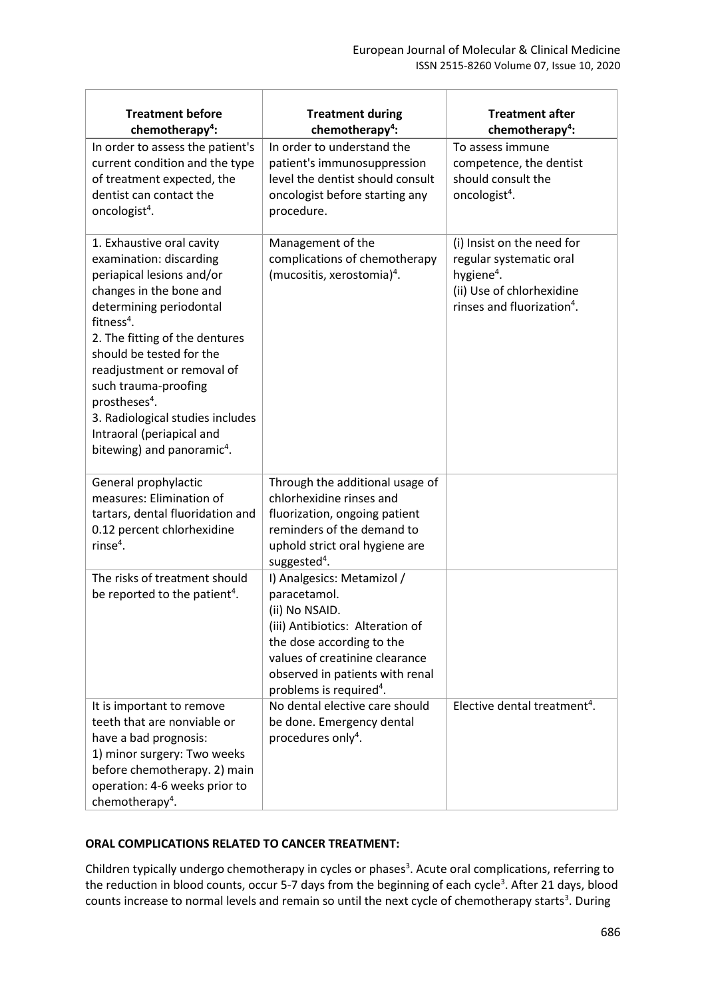| <b>Treatment before</b><br>chemotherapy <sup>4</sup> :                                                                                                                                                                                                                                                                                                                                                               | <b>Treatment during</b><br>chemotherapy <sup>4</sup> :                                                                                                                                                                                    | <b>Treatment after</b><br>chemotherapy <sup>4</sup> :                                                                                                  |
|----------------------------------------------------------------------------------------------------------------------------------------------------------------------------------------------------------------------------------------------------------------------------------------------------------------------------------------------------------------------------------------------------------------------|-------------------------------------------------------------------------------------------------------------------------------------------------------------------------------------------------------------------------------------------|--------------------------------------------------------------------------------------------------------------------------------------------------------|
| In order to assess the patient's<br>current condition and the type<br>of treatment expected, the<br>dentist can contact the<br>oncologist <sup>4</sup> .                                                                                                                                                                                                                                                             | In order to understand the<br>patient's immunosuppression<br>level the dentist should consult<br>oncologist before starting any<br>procedure.                                                                                             | To assess immune<br>competence, the dentist<br>should consult the<br>oncologist <sup>4</sup> .                                                         |
| 1. Exhaustive oral cavity<br>examination: discarding<br>periapical lesions and/or<br>changes in the bone and<br>determining periodontal<br>fitness $4$ .<br>2. The fitting of the dentures<br>should be tested for the<br>readjustment or removal of<br>such trauma-proofing<br>prostheses <sup>4</sup> .<br>3. Radiological studies includes<br>Intraoral (periapical and<br>bitewing) and panoramic <sup>4</sup> . | Management of the<br>complications of chemotherapy<br>(mucositis, xerostomia) <sup>4</sup> .                                                                                                                                              | (i) Insist on the need for<br>regular systematic oral<br>hygiene <sup>4</sup> .<br>(ii) Use of chlorhexidine<br>rinses and fluorization <sup>4</sup> . |
| General prophylactic<br>measures: Elimination of<br>tartars, dental fluoridation and<br>0.12 percent chlorhexidine<br>rinse $4$ .                                                                                                                                                                                                                                                                                    | Through the additional usage of<br>chlorhexidine rinses and<br>fluorization, ongoing patient<br>reminders of the demand to<br>uphold strict oral hygiene are<br>suggested <sup>4</sup> .                                                  |                                                                                                                                                        |
| The risks of treatment should<br>be reported to the patient <sup>4</sup> .                                                                                                                                                                                                                                                                                                                                           | I) Analgesics: Metamizol /<br>paracetamol.<br>(ii) No NSAID.<br>(iii) Antibiotics: Alteration of<br>the dose according to the<br>values of creatinine clearance<br>observed in patients with renal<br>problems is required <sup>4</sup> . |                                                                                                                                                        |
| It is important to remove<br>teeth that are nonviable or<br>have a bad prognosis:<br>1) minor surgery: Two weeks<br>before chemotherapy. 2) main<br>operation: 4-6 weeks prior to<br>chemotherapy <sup>4</sup> .                                                                                                                                                                                                     | No dental elective care should<br>be done. Emergency dental<br>procedures only <sup>4</sup> .                                                                                                                                             | Elective dental treatment <sup>4</sup> .                                                                                                               |

# **ORAL COMPLICATIONS RELATED TO CANCER TREATMENT:**

Children typically undergo chemotherapy in cycles or phases<sup>3</sup>. Acute oral complications, referring to the reduction in blood counts, occur 5-7 days from the beginning of each cycle<sup>3</sup>. After 21 days, blood counts increase to normal levels and remain so until the next cycle of chemotherapy starts<sup>3</sup>. During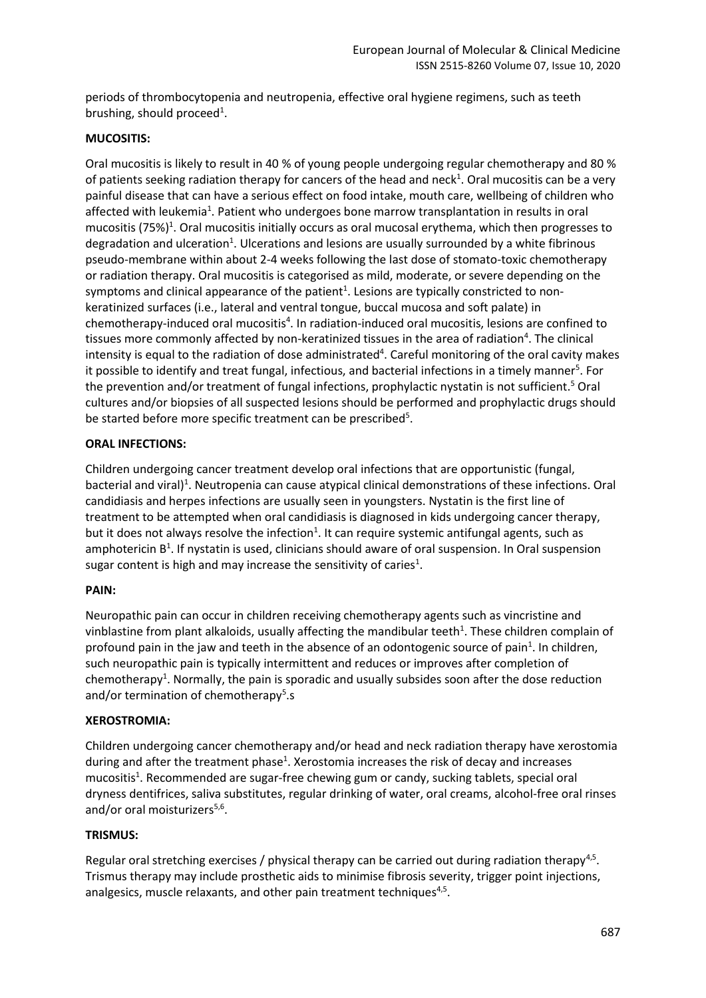periods of thrombocytopenia and neutropenia, effective oral hygiene regimens, such as teeth brushing, should proceed<sup>1</sup>.

## **MUCOSITIS:**

Oral mucositis is likely to result in 40 % of young people undergoing regular chemotherapy and 80 % of patients seeking radiation therapy for cancers of the head and neck<sup>1</sup>. Oral mucositis can be a very painful disease that can have a serious effect on food intake, mouth care, wellbeing of children who affected with leukemia<sup>1</sup>. Patient who undergoes bone marrow transplantation in results in oral mucositis (75%)<sup>1</sup>. Oral mucositis initially occurs as oral mucosal erythema, which then progresses to degradation and ulceration<sup>1</sup>. Ulcerations and lesions are usually surrounded by a white fibrinous pseudo-membrane within about 2-4 weeks following the last dose of stomato-toxic chemotherapy or radiation therapy. Oral mucositis is categorised as mild, moderate, or severe depending on the symptoms and clinical appearance of the patient<sup>1</sup>. Lesions are typically constricted to nonkeratinized surfaces (i.e., lateral and ventral tongue, buccal mucosa and soft palate) in chemotherapy-induced oral mucositis<sup>4</sup>. In radiation-induced oral mucositis, lesions are confined to tissues more commonly affected by non-keratinized tissues in the area of radiation<sup>4</sup>. The clinical intensity is equal to the radiation of dose administrated<sup>4</sup>. Careful monitoring of the oral cavity makes it possible to identify and treat fungal, infectious, and bacterial infections in a timely manner<sup>5</sup>. For the prevention and/or treatment of fungal infections, prophylactic nystatin is not sufficient. <sup>5</sup> Oral cultures and/or biopsies of all suspected lesions should be performed and prophylactic drugs should be started before more specific treatment can be prescribed<sup>5</sup>.

## **ORAL INFECTIONS:**

Children undergoing cancer treatment develop oral infections that are opportunistic (fungal, bacterial and viral)<sup>1</sup>. Neutropenia can cause atypical clinical demonstrations of these infections. Oral candidiasis and herpes infections are usually seen in youngsters. Nystatin is the first line of treatment to be attempted when oral candidiasis is diagnosed in kids undergoing cancer therapy, but it does not always resolve the infection<sup>1</sup>. It can require systemic antifungal agents, such as amphotericin B<sup>1</sup>. If nystatin is used, clinicians should aware of oral suspension. In Oral suspension sugar content is high and may increase the sensitivity of caries<sup>1</sup>.

#### **PAIN:**

Neuropathic pain can occur in children receiving chemotherapy agents such as vincristine and vinblastine from plant alkaloids, usually affecting the mandibular teeth<sup>1</sup>. These children complain of profound pain in the jaw and teeth in the absence of an odontogenic source of pain<sup>1</sup>. In children, such neuropathic pain is typically intermittent and reduces or improves after completion of chemotherapy<sup>1</sup>. Normally, the pain is sporadic and usually subsides soon after the dose reduction and/or termination of chemotherapy<sup>5</sup>.s

#### **XEROSTROMIA:**

Children undergoing cancer chemotherapy and/or head and neck radiation therapy have xerostomia during and after the treatment phase<sup>1</sup>. Xerostomia increases the risk of decay and increases mucositis<sup>1</sup>. Recommended are sugar-free chewing gum or candy, sucking tablets, special oral dryness dentifrices, saliva substitutes, regular drinking of water, oral creams, alcohol-free oral rinses and/or oral moisturizers<sup>5,6</sup>.

#### **TRISMUS:**

Regular oral stretching exercises / physical therapy can be carried out during radiation therapy<sup>4,5</sup>. Trismus therapy may include prosthetic aids to minimise fibrosis severity, trigger point injections, analgesics, muscle relaxants, and other pain treatment techniques<sup>4,5</sup>.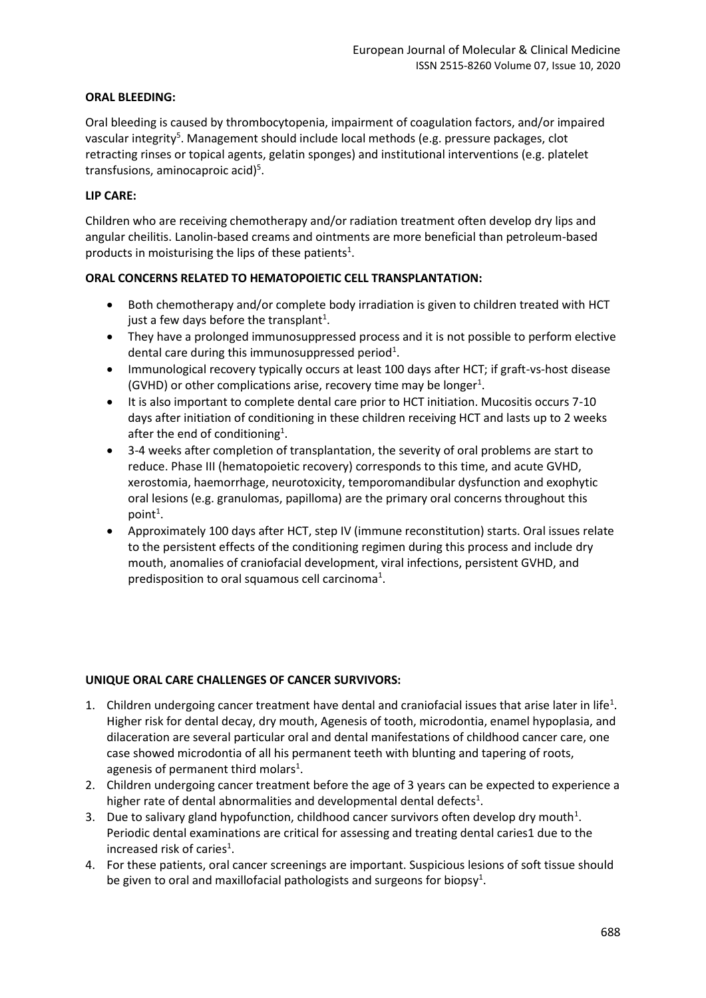### **ORAL BLEEDING:**

Oral bleeding is caused by thrombocytopenia, impairment of coagulation factors, and/or impaired vascular integrity<sup>5</sup>. Management should include local methods (e.g. pressure packages, clot retracting rinses or topical agents, gelatin sponges) and institutional interventions (e.g. platelet transfusions, aminocaproic acid)<sup>5</sup>.

## **LIP CARE:**

Children who are receiving chemotherapy and/or radiation treatment often develop dry lips and angular cheilitis. Lanolin-based creams and ointments are more beneficial than petroleum-based products in moisturising the lips of these patients<sup>1</sup>.

## **ORAL CONCERNS RELATED TO HEMATOPOIETIC CELL TRANSPLANTATION:**

- Both chemotherapy and/or complete body irradiation is given to children treated with HCT just a few days before the transplant<sup>1</sup>.
- They have a prolonged immunosuppressed process and it is not possible to perform elective dental care during this immunosuppressed period<sup>1</sup>.
- Immunological recovery typically occurs at least 100 days after HCT; if graft-vs-host disease (GVHD) or other complications arise, recovery time may be longer<sup>1</sup>.
- It is also important to complete dental care prior to HCT initiation. Mucositis occurs 7-10 days after initiation of conditioning in these children receiving HCT and lasts up to 2 weeks after the end of conditioning<sup>1</sup>.
- 3-4 weeks after completion of transplantation, the severity of oral problems are start to reduce. Phase III (hematopoietic recovery) corresponds to this time, and acute GVHD, xerostomia, haemorrhage, neurotoxicity, temporomandibular dysfunction and exophytic oral lesions (e.g. granulomas, papilloma) are the primary oral concerns throughout this point<sup>1</sup>.
- Approximately 100 days after HCT, step IV (immune reconstitution) starts. Oral issues relate to the persistent effects of the conditioning regimen during this process and include dry mouth, anomalies of craniofacial development, viral infections, persistent GVHD, and predisposition to oral squamous cell carcinoma<sup>1</sup>.

# **UNIQUE ORAL CARE CHALLENGES OF CANCER SURVIVORS:**

- 1. Children undergoing cancer treatment have dental and craniofacial issues that arise later in life<sup>1</sup>. Higher risk for dental decay, dry mouth, Agenesis of tooth, microdontia, enamel hypoplasia, and dilaceration are several particular oral and dental manifestations of childhood cancer care, one case showed microdontia of all his permanent teeth with blunting and tapering of roots, agenesis of permanent third molars<sup>1</sup>.
- 2. Children undergoing cancer treatment before the age of 3 years can be expected to experience a higher rate of dental abnormalities and developmental dental defects<sup>1</sup>.
- 3. Due to salivary gland hypofunction, childhood cancer survivors often develop dry mouth<sup>1</sup>. Periodic dental examinations are critical for assessing and treating dental caries1 due to the increased risk of caries<sup>1</sup>.
- 4. For these patients, oral cancer screenings are important. Suspicious lesions of soft tissue should be given to oral and maxillofacial pathologists and surgeons for biopsy<sup>1</sup>.